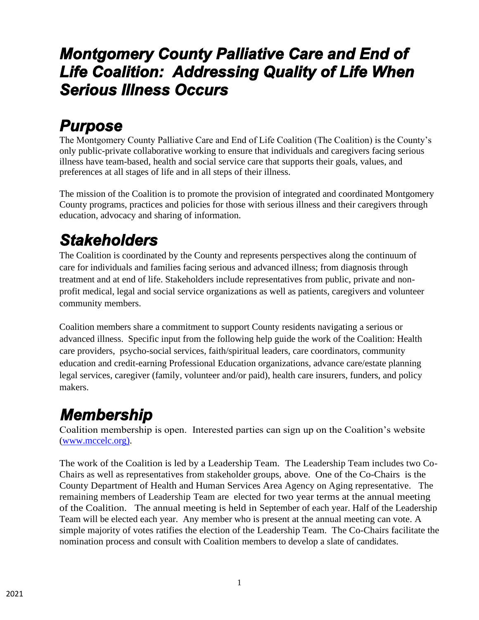#### *Montgomery County Palliative Care and End of Life Coalition: Addressing Quality of Life When Serious Illness Occurs*

## *Purpose*

The Montgomery County Palliative Care and End of Life Coalition (The Coalition) is the County's only public-private collaborative working to ensure that individuals and caregivers facing serious illness have team-based, health and social service care that supports their goals, values, and preferences at all stages of life and in all steps of their illness.

The mission of the Coalition is to promote the provision of integrated and coordinated Montgomery County programs, practices and policies for those with serious illness and their caregivers through education, advocacy and sharing of information.

## *Stakeholders*

The Coalition is coordinated by the County and represents perspectives along the continuum of care for individuals and families facing serious and advanced illness; from diagnosis through treatment and at end of life. Stakeholders include representatives from public, private and nonprofit medical, legal and social service organizations as well as patients, caregivers and volunteer community members.

Coalition members share a commitment to support County residents navigating a serious or advanced illness. Specific input from the following help guide the work of the Coalition: Health care providers, psycho-social services, faith/spiritual leaders, care coordinators, community education and credit-earning Professional Education organizations, advance care/estate planning legal services, caregiver (family, volunteer and/or paid), health care insurers, funders, and policy makers.

## *Membership*

Coalition membership is open. Interested parties can sign up on the Coalition's website [\(www.mccelc.org\).](http://www.mccelc.org/http:/www.mccelc.org/)

The work of the Coalition is led by a Leadership Team. The Leadership Team includes two Co-Chairs as well as representatives from stakeholder groups, above. One of the Co-Chairs is the County Department of Health and Human Services Area Agency on Aging representative. The remaining members of Leadership Team are elected for two year terms at the annual meeting of the Coalition. The annual meeting is held in September of each year. Half of the Leadership Team will be elected each year. Any member who is present at the annual meeting can vote. A simple majority of votes ratifies the election of the Leadership Team. The Co-Chairs facilitate the nomination process and consult with Coalition members to develop a slate of candidates.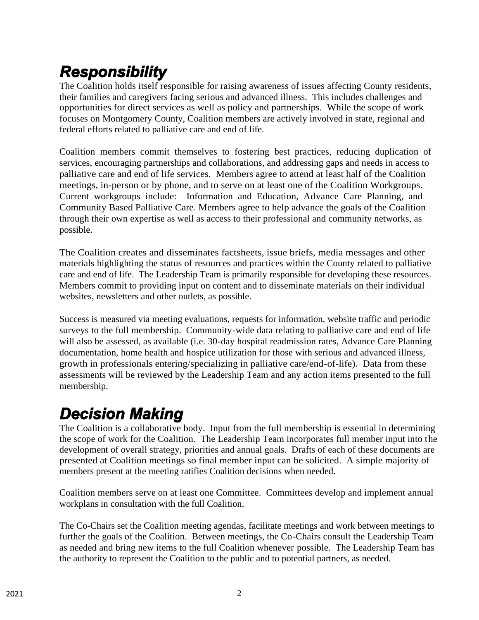# *Responsibility*

The Coalition holds itself responsible for raising awareness of issues affecting County residents, their families and caregivers facing serious and advanced illness. This includes challenges and opportunities for direct services as well as policy and partnerships. While the scope of work focuses on Montgomery County, Coalition members are actively involved in state, regional and federal efforts related to palliative care and end of life.

Coalition members commit themselves to fostering best practices, reducing duplication of services, encouraging partnerships and collaborations, and addressing gaps and needs in access to palliative care and end of life services. Members agree to attend at least half of the Coalition meetings, in-person or by phone, and to serve on at least one of the Coalition Workgroups. Current workgroups include: Information and Education, Advance Care Planning, and Community Based Palliative Care. Members agree to help advance the goals of the Coalition through their own expertise as well as access to their professional and community networks, as possible.

The Coalition creates and disseminates factsheets, issue briefs, media messages and other materials highlighting the status of resources and practices within the County related to palliative care and end of life. The Leadership Team is primarily responsible for developing these resources. Members commit to providing input on content and to disseminate materials on their individual websites, newsletters and other outlets, as possible.

Success is measured via meeting evaluations, requests for information, website traffic and periodic surveys to the full membership. Community-wide data relating to palliative care and end of life will also be assessed, as available (i.e. 30-day hospital readmission rates, Advance Care Planning documentation, home health and hospice utilization for those with serious and advanced illness, growth in professionals entering/specializing in palliative care/end-of-life). Data from these assessments will be reviewed by the Leadership Team and any action items presented to the full membership.

### *Decision Making*

The Coalition is a collaborative body. Input from the full membership is essential in determining the scope of work for the Coalition. The Leadership Team incorporates full member input into the development of overall strategy, priorities and annual goals. Drafts of each of these documents are presented at Coalition meetings so final member input can be solicited. A simple majority of members present at the meeting ratifies Coalition decisions when needed.

Coalition members serve on at least one Committee. Committees develop and implement annual workplans in consultation with the full Coalition.

The Co-Chairs set the Coalition meeting agendas, facilitate meetings and work between meetings to further the goals of the Coalition. Between meetings, the Co-Chairs consult the Leadership Team as needed and bring new items to the full Coalition whenever possible. The Leadership Team has the authority to represent the Coalition to the public and to potential partners, as needed.